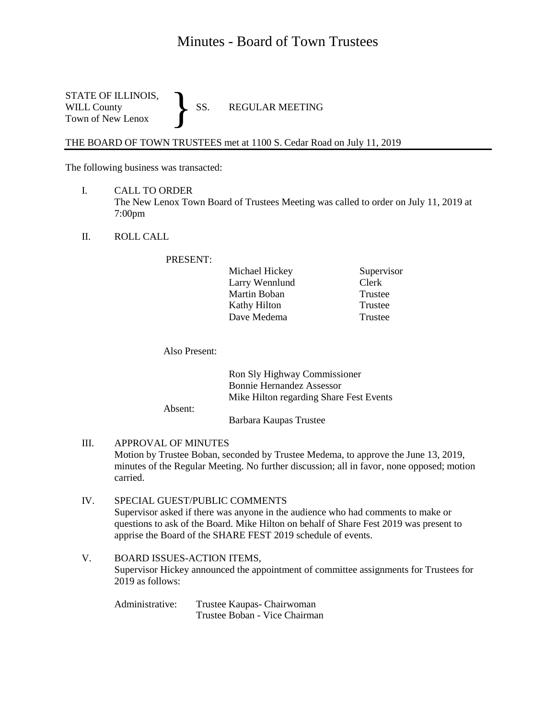## Minutes - Board of Town Trustees

STATE OF ILLINOIS,<br>WILL County SS. WILL County SS. REGULAR MEETING Town of New Lenox }

THE BOARD OF TOWN TRUSTEES met at 1100 S. Cedar Road on July 11, 2019

The following business was transacted:

- I. CALL TO ORDER The New Lenox Town Board of Trustees Meeting was called to order on July 11, 2019 at 7:00pm
- II. ROLL CALL

PRESENT:

| Supervisor |
|------------|
| Clerk      |
| Trustee    |
| Trustee    |
| Trustee    |
|            |

Also Present:

Absent:

| Ron Sly Highway Commissioner<br><b>Bonnie Hernandez Assessor</b> |
|------------------------------------------------------------------|
| Mike Hilton regarding Share Fest Events                          |
| Barbara Kaupas Trustee                                           |

III. APPROVAL OF MINUTES Motion by Trustee Boban, seconded by Trustee Medema, to approve the June 13, 2019, minutes of the Regular Meeting. No further discussion; all in favor, none opposed; motion carried.

- IV. SPECIAL GUEST/PUBLIC COMMENTS Supervisor asked if there was anyone in the audience who had comments to make or questions to ask of the Board. Mike Hilton on behalf of Share Fest 2019 was present to apprise the Board of the SHARE FEST 2019 schedule of events.
- V. BOARD ISSUES-ACTION ITEMS, Supervisor Hickey announced the appointment of committee assignments for Trustees for  $2019$  as follows:

Administrative: Trustee Kaupas- Chairwoman Trustee Boban - Vice Chairman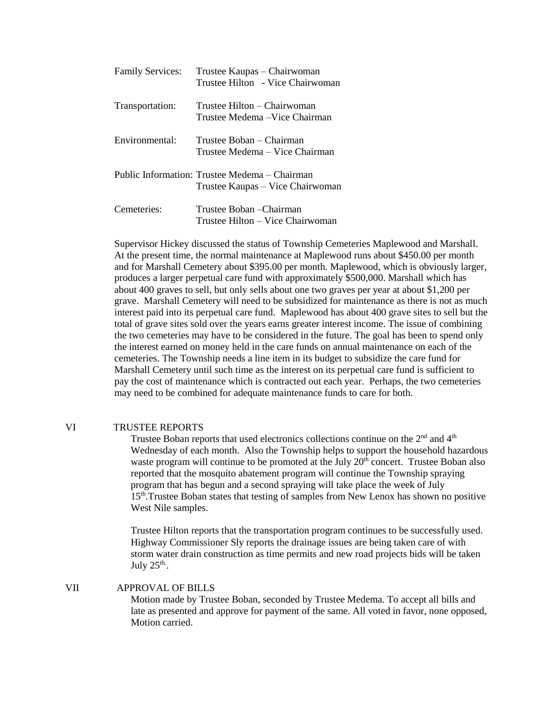| <b>Family Services:</b> | Trustee Kaupas – Chairwoman<br>Trustee Hilton - Vice Chairwoman                   |
|-------------------------|-----------------------------------------------------------------------------------|
| Transportation:         | Trustee Hilton – Chairwoman<br>Trustee Medema – Vice Chairman                     |
| Environmental:          | Trustee Boban – Chairman<br>Trustee Medema – Vice Chairman                        |
|                         | Public Information: Trustee Medema – Chairman<br>Trustee Kaupas – Vice Chairwoman |
| Cemeteries:             | Trustee Boban – Chairman<br>Trustee Hilton - Vice Chairwoman                      |

Supervisor Hickey discussed the status of Township Cemeteries Maplewood and Marshall. At the present time, the normal maintenance at Maplewood runs about \$450.00 per month and for Marshall Cemetery about \$395.00 per month. Maplewood, which is obviously larger, produces a larger perpetual care fund with approximately \$500,000. Marshall which has about 400 graves to sell, but only sells about one two graves per year at about \$1,200 per grave. Marshall Cemetery will need to be subsidized for maintenance as there is not as much interest paid into its perpetual care fund. Maplewood has about 400 grave sites to sell but the total of grave sites sold over the years earns greater interest income. The issue of combining the two cemeteries may have to be considered in the future. The goal has been to spend only the interest earned on money held in the care funds on annual maintenance on each of the cemeteries. The Township needs a line item in its budget to subsidize the care fund for Marshall Cemetery until such time as the interest on its perpetual care fund is sufficient to pay the cost of maintenance which is contracted out each year. Perhaps, the two cemeteries may need to be combined for adequate maintenance funds to care for both.

## VI TRUSTEE REPORTS

Trustee Boban reports that used electronics collections continue on the  $2<sup>nd</sup>$  and  $4<sup>th</sup>$ Wednesday of each month. Also the Township helps to support the household hazardous waste program will continue to be promoted at the July  $20<sup>th</sup>$  concert. Trustee Boban also reported that the mosquito abatement program will continue the Township spraying program that has begun and a second spraying will take place the week of July 15th.Trustee Boban states that testing of samples from New Lenox has shown no positive West Nile samples.

Trustee Hilton reports that the transportation program continues to be successfully used. Highway Commissioner Sly reports the drainage issues are being taken care of with storm water drain construction as time permits and new road projects bids will be taken July  $25^{\text{th}}$ .

## VII APPROVAL OF BILLS

Motion made by Trustee Boban, seconded by Trustee Medema. To accept all bills and late as presented and approve for payment of the same. All voted in favor, none opposed, Motion carried.